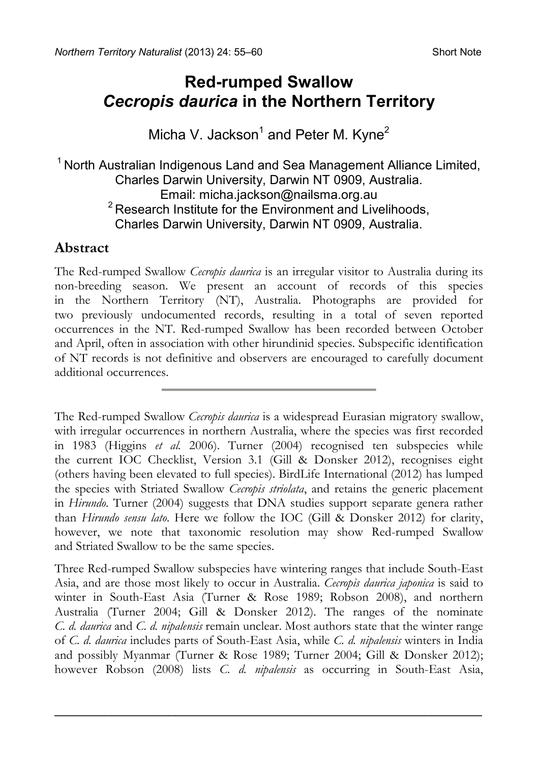# **Red-rumped Swallow**  *Cecropis daurica* **in the Northern Territory**

### Micha V. Jackson<sup>1</sup> and Peter M. Kyne<sup>2</sup>

# <sup>1</sup> North Australian Indigenous Land and Sea Management Alliance Limited, Charles Darwin University, Darwin NT 0909, Australia.  $2$  Research Institute for the Environment and Livelihoods, Charles Darwin University, Darwin NT 0909, Australia.

### **Abstract**

The Red-rumped Swallow *Cecropis daurica* is an irregular visitor to Australia during its non-breeding season. We present an account of records of this species in the Northern Territory (NT), Australia. Photographs are provided for two previously undocumented records, resulting in a total of seven reported occurrences in the NT. Red-rumped Swallow has been recorded between October and April, often in association with other hirundinid species. Subspecific identification of NT records is not definitive and observers are encouraged to carefully document additional occurrences.

The Red-rumped Swallow *Cecropis daurica* is a widespread Eurasian migratory swallow, with irregular occurrences in northern Australia, where the species was first recorded in 1983 (Higgins *et al.* 2006). Turner (2004) recognised ten subspecies while the current IOC Checklist, Version 3.1 (Gill & Donsker 2012), recognises eight (others having been elevated to full species). BirdLife International (2012) has lumped the species with Striated Swallow *Cecropis striolata*, and retains the generic placement in *Hirundo*. Turner (2004) suggests that DNA studies support separate genera rather than *Hirundo sensu lato*. Here we follow the IOC (Gill & Donsker 2012) for clarity, however, we note that taxonomic resolution may show Red-rumped Swallow and Striated Swallow to be the same species.

Three Red-rumped Swallow subspecies have wintering ranges that include South-East Asia, and are those most likely to occur in Australia. *Cecropis daurica japonica* is said to winter in South-East Asia (Turner & Rose 1989; Robson 2008), and northern Australia (Turner 2004; Gill & Donsker 2012). The ranges of the nominate *C. d. daurica* and *C. d. nipalensis* remain unclear. Most authors state that the winter range of *C. d. daurica* includes parts of South-East Asia, while *C. d. nipalensis* winters in India and possibly Myanmar (Turner & Rose 1989; Turner 2004; Gill & Donsker 2012); however Robson (2008) lists *C. d. nipalensis* as occurring in South-East Asia,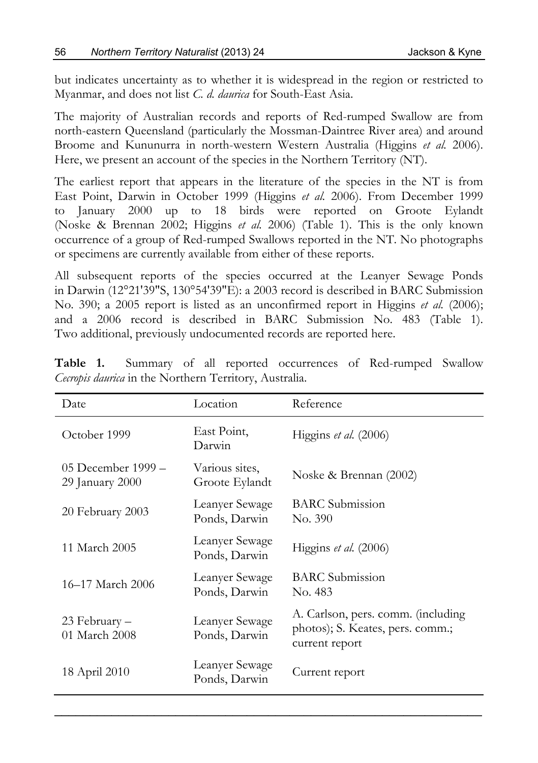but indicates uncertainty as to whether it is widespread in the region or restricted to Myanmar, and does not list *C. d. daurica* for South-East Asia.

The majority of Australian records and reports of Red-rumped Swallow are from north-eastern Queensland (particularly the Mossman-Daintree River area) and around Broome and Kununurra in north-western Western Australia (Higgins *et al.* 2006). Here, we present an account of the species in the Northern Territory (NT).

The earliest report that appears in the literature of the species in the NT is from East Point, Darwin in October 1999 (Higgins *et al.* 2006). From December 1999 to January 2000 up to 18 birds were reported on Groote Eylandt (Noske & Brennan 2002; Higgins *et al.* 2006) (Table 1). This is the only known occurrence of a group of Red-rumped Swallows reported in the NT. No photographs or specimens are currently available from either of these reports.

All subsequent reports of the species occurred at the Leanyer Sewage Ponds in Darwin (12°21'39"S, 130°54'39"E): a 2003 record is described in BARC Submission No. 390; a 2005 report is listed as an unconfirmed report in Higgins *et al.* (2006); and a 2006 record is described in BARC Submission No. 483 (Table 1). Two additional, previously undocumented records are reported here.

| Date                                  | Location                         | Reference                                                                                |
|---------------------------------------|----------------------------------|------------------------------------------------------------------------------------------|
| October 1999                          | East Point,<br>Darwin            | Higgins et al. (2006)                                                                    |
| 05 December 1999 –<br>29 January 2000 | Various sites,<br>Groote Eylandt | Noske & Brennan (2002)                                                                   |
| 20 February 2003                      | Leanyer Sewage<br>Ponds, Darwin  | <b>BARC</b> Submission<br>No. 390                                                        |
| 11 March 2005                         | Leanyer Sewage<br>Ponds, Darwin  | Higgins et al. (2006)                                                                    |
| 16–17 March 2006                      | Leanyer Sewage<br>Ponds, Darwin  | <b>BARC</b> Submission<br>No. 483                                                        |
| 23 February –<br>01 March 2008        | Leanyer Sewage<br>Ponds, Darwin  | A. Carlson, pers. comm. (including<br>photos); S. Keates, pers. comm.;<br>current report |
| 18 April 2010                         | Leanyer Sewage<br>Ponds, Darwin  | Current report                                                                           |

**Table 1.** Summary of all reported occurrences of Red-rumped Swallow *Cecropis daurica* in the Northern Territory, Australia.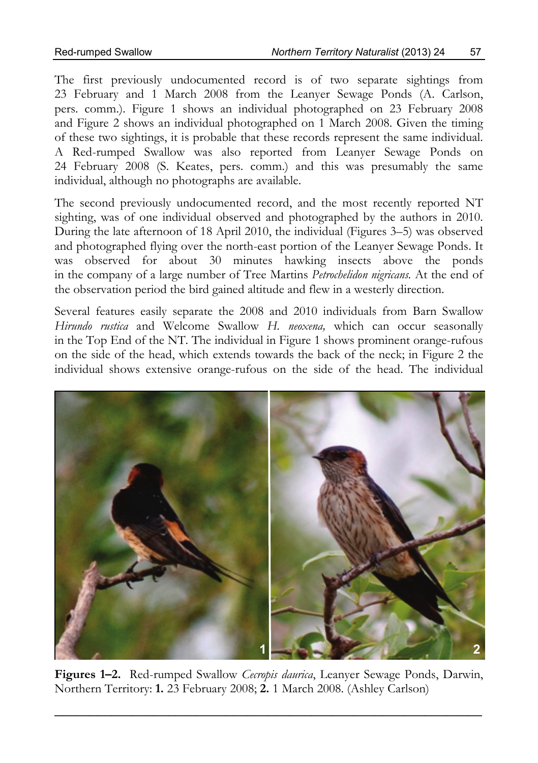The first previously undocumented record is of two separate sightings from 23 February and 1 March 2008 from the Leanyer Sewage Ponds (A. Carlson, pers. comm.). Figure 1 shows an individual photographed on 23 February 2008 and Figure 2 shows an individual photographed on 1 March 2008. Given the timing of these two sightings, it is probable that these records represent the same individual. A Red-rumped Swallow was also reported from Leanyer Sewage Ponds on 24 February 2008 (S. Keates, pers. comm.) and this was presumably the same individual, although no photographs are available.

The second previously undocumented record, and the most recently reported NT sighting, was of one individual observed and photographed by the authors in 2010. During the late afternoon of 18 April 2010, the individual (Figures 3–5) was observed and photographed flying over the north-east portion of the Leanyer Sewage Ponds. It was observed for about 30 minutes hawking insects above the ponds in the company of a large number of Tree Martins *Petrochelidon nigricans.* At the end of the observation period the bird gained altitude and flew in a westerly direction.

Several features easily separate the 2008 and 2010 individuals from Barn Swallow *Hirundo rustica* and Welcome Swallow *H. neoxena,* which can occur seasonally in the Top End of the NT. The individual in Figure 1 shows prominent orange-rufous on the side of the head, which extends towards the back of the neck; in Figure 2 the individual shows extensive orange-rufous on the side of the head. The individual



**Figures 1–2.** Red-rumped Swallow *Cecropis daurica*, Leanyer Sewage Ponds, Darwin, Northern Territory: **1.** 23 February 2008; **2.** 1 March 2008. (Ashley Carlson)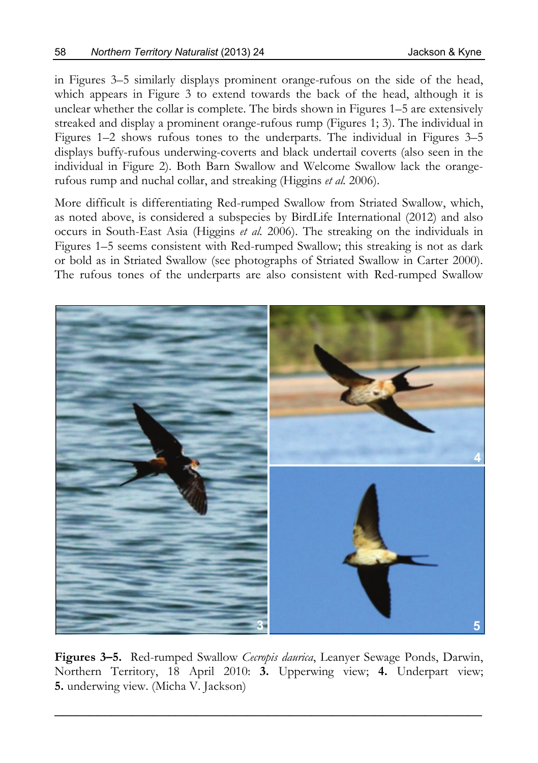in Figures 3–5 similarly displays prominent orange-rufous on the side of the head, which appears in Figure 3 to extend towards the back of the head, although it is unclear whether the collar is complete. The birds shown in Figures 1–5 are extensively streaked and display a prominent orange-rufous rump (Figures 1; 3). The individual in Figures 1–2 shows rufous tones to the underparts. The individual in Figures 3–5 displays buffy-rufous underwing-coverts and black undertail coverts (also seen in the individual in Figure 2). Both Barn Swallow and Welcome Swallow lack the orangerufous rump and nuchal collar, and streaking (Higgins *et al.* 2006).

More difficult is differentiating Red-rumped Swallow from Striated Swallow, which, as noted above, is considered a subspecies by BirdLife International (2012) and also occurs in South-East Asia (Higgins *et al.* 2006). The streaking on the individuals in Figures 1–5 seems consistent with Red-rumped Swallow; this streaking is not as dark or bold as in Striated Swallow (see photographs of Striated Swallow in Carter 2000). The rufous tones of the underparts are also consistent with Red-rumped Swallow



**Figures 3–5.** Red-rumped Swallow *Cecropis daurica*, Leanyer Sewage Ponds, Darwin, Northern Territory, 18 April 2010: **3.** Upperwing view; **4.** Underpart view; **5.** underwing view. (Micha V. Jackson)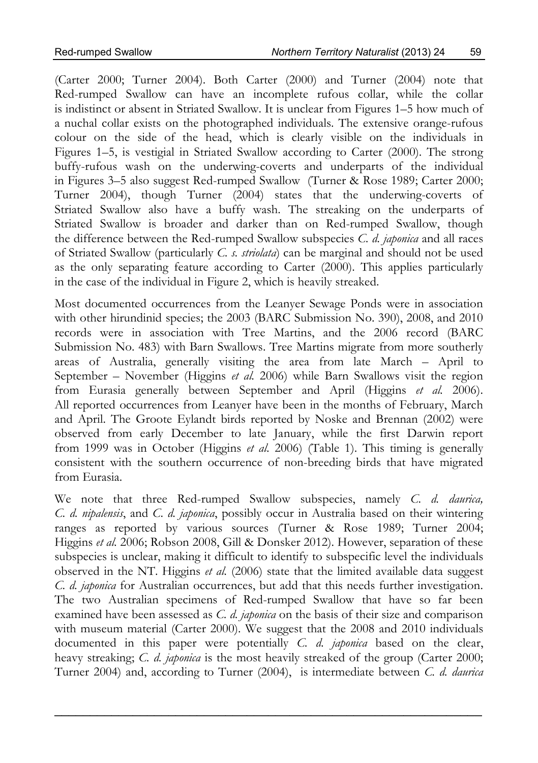(Carter 2000; Turner 2004). Both Carter (2000) and Turner (2004) note that Red-rumped Swallow can have an incomplete rufous collar, while the collar is indistinct or absent in Striated Swallow. It is unclear from Figures 1–5 how much of a nuchal collar exists on the photographed individuals. The extensive orange-rufous colour on the side of the head, which is clearly visible on the individuals in Figures 1–5, is vestigial in Striated Swallow according to Carter (2000). The strong buffy-rufous wash on the underwing-coverts and underparts of the individual in Figures 3–5 also suggest Red-rumped Swallow (Turner & Rose 1989; Carter 2000; Turner 2004), though Turner (2004) states that the underwing-coverts of Striated Swallow also have a buffy wash. The streaking on the underparts of Striated Swallow is broader and darker than on Red-rumped Swallow, though the difference between the Red-rumped Swallow subspecies *C. d. japonica* and all races of Striated Swallow (particularly *C. s. striolata*) can be marginal and should not be used as the only separating feature according to Carter (2000). This applies particularly in the case of the individual in Figure 2, which is heavily streaked.

Most documented occurrences from the Leanyer Sewage Ponds were in association with other hirundinid species; the 2003 (BARC Submission No. 390), 2008, and 2010 records were in association with Tree Martins, and the 2006 record (BARC Submission No. 483) with Barn Swallows. Tree Martins migrate from more southerly areas of Australia, generally visiting the area from late March – April to September – November (Higgins *et al.* 2006) while Barn Swallows visit the region from Eurasia generally between September and April (Higgins *et al.* 2006). All reported occurrences from Leanyer have been in the months of February, March and April. The Groote Eylandt birds reported by Noske and Brennan (2002) were observed from early December to late January, while the first Darwin report from 1999 was in October (Higgins *et al.* 2006) (Table 1). This timing is generally consistent with the southern occurrence of non-breeding birds that have migrated from Eurasia.

We note that three Red-rumped Swallow subspecies, namely *C*. *d. daurica, C. d. nipalensis*, and *C*. *d. japonica*, possibly occur in Australia based on their wintering ranges as reported by various sources (Turner & Rose 1989; Turner 2004; Higgins *et al.* 2006; Robson 2008, Gill & Donsker 2012). However, separation of these subspecies is unclear, making it difficult to identify to subspecific level the individuals observed in the NT. Higgins *et al.* (2006) state that the limited available data suggest *C. d. japonica* for Australian occurrences, but add that this needs further investigation. The two Australian specimens of Red-rumped Swallow that have so far been examined have been assessed as *C. d. japonica* on the basis of their size and comparison with museum material (Carter 2000). We suggest that the 2008 and 2010 individuals documented in this paper were potentially *C. d. japonica* based on the clear, heavy streaking; *C. d. japonica* is the most heavily streaked of the group (Carter 2000; Turner 2004) and, according to Turner (2004), is intermediate between *C. d. daurica*